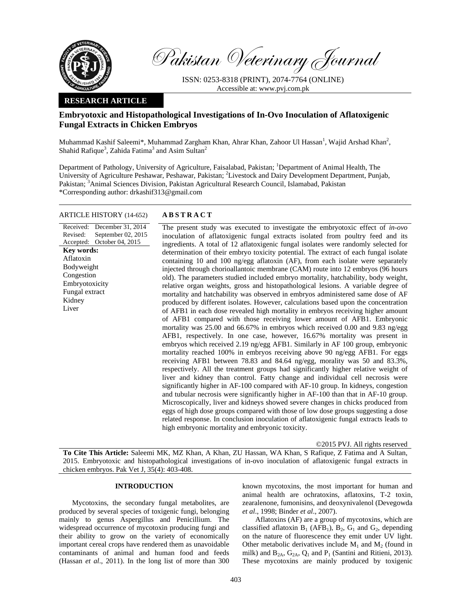

Pakistan Veterinary Journal

ISSN: 0253-8318 (PRINT), 2074-7764 (ONLINE) Accessible at: www.pvj.com.pk

# **RESEARCH ARTICLE**

# **Embryotoxic and Histopathological Investigations of In-Ovo Inoculation of Aflatoxigenic Fungal Extracts in Chicken Embryos**

Muhammad Kashif Saleemi\*, Muhammad Zargham Khan, Ahrar Khan, Zahoor Ul Hassan<sup>1</sup>, Wajid Arshad Khan<sup>2</sup>, Shahid Rafique<sup>3</sup>, Zahida Fatima<sup>3</sup> and Asim Sultan<sup>2</sup>

Department of Pathology, University of Agriculture, Faisalabad, Pakistan; <sup>1</sup>Department of Animal Health, The University of Agriculture Peshawar, Peshawar, Pakistan; <sup>2</sup>Livestock and Dairy Development Department, Punjab, Pakistan; <sup>3</sup>Animal Sciences Division, Pakistan Agricultural Research Council, Islamabad, Pakistan \*Corresponding author: drkashif313@gmail.com

# ARTICLE HISTORY (14-652) **ABSTRACT**

Received: Revised: Accepted: December 31, 2014 September 02, 2015 October 04, 2015 The present study was executed to investigate the embryotoxic effect of *in-ovo* inoculation of aflatoxigenic fungal extracts isolated from poultry feed and its ingredients. A total of 12 aflatoxigenic fungal isolates were randomly selected for determination of their embryo toxicity potential. The extract of each fungal isolate containing 10 and 100 ng/egg aflatoxin (AF), from each isolate were separately injected through chorioallantoic membrane (CAM) route into 12 embryos (96 hours old). The parameters studied included embryo mortality, hatchability, body weight, relative organ weights, gross and histopathological lesions. A variable degree of mortality and hatchability was observed in embryos administered same dose of AF produced by different isolates. However, calculations based upon the concentration of AFB1 in each dose revealed high mortality in embryos receiving higher amount of AFB1 compared with those receiving lower amount of AFB1. Embryonic mortality was 25.00 and 66.67% in embryos which received 0.00 and 9.83 ng/egg AFB1, respectively. In one case, however, 16.67% mortality was present in embryos which received 2.19 ng/egg AFB1. Similarly in AF 100 group, embryonic mortality reached 100% in embryos receiving above 90 ng/egg AFB1. For eggs receiving AFB1 between 78.83 and 84.64 ng/egg, morality was 50 and 83.3%, respectively. All the treatment groups had significantly higher relative weight of liver and kidney than control. Fatty change and individual cell necrosis were significantly higher in AF-100 compared with AF-10 group. In kidneys, congestion and tubular necrosis were significantly higher in AF-100 than that in AF-10 group. Microscopically, liver and kidneys showed severe changes in chicks produced from eggs of high dose groups compared with those of low dose groups suggesting a dose related response. In conclusion inoculation of aflatoxigenic fungal extracts leads to high embryonic mortality and embryonic toxicity. **Key words:**  Aflatoxin Bodyweight Congestion Embryotoxicity Fungal extract Kidney Liver

©2015 PVJ. All rights reserved

**To Cite This Article:** Saleemi MK, MZ Khan, A Khan, ZU Hassan, WA Khan, S Rafique, Z Fatima and A Sultan, 2015. Embryotoxic and histopathological investigations of in-ovo inoculation of aflatoxigenic fungal extracts in chicken embryos. Pak Vet J, 35(4): 403-408.

# **INTRODUCTION**

Mycotoxins, the secondary fungal metabolites, are produced by several species of toxigenic fungi, belonging mainly to genus Aspergillus and Penicillium. The widespread occurrence of mycotoxin producing fungi and their ability to grow on the variety of economically important cereal crops have rendered them as unavoidable contaminants of animal and human food and feeds (Hassan *et al*., 2011). In the long list of more than 300 known mycotoxins, the most important for human and animal health are ochratoxins, aflatoxins, T-2 toxin, zearalenone, fumonisins, and deoxynivalenol (Devegowda *et al*., 1998; Binder *et al*., 2007).

Aflatoxins (AF) are a group of mycotoxins, which are classified aflatoxin  $B_1$  (AFB<sub>1</sub>),  $B_2$ ,  $G_1$  and  $G_2$ , depending on the nature of fluorescence they emit under UV light. Other metabolic derivatives include  $M_1$  and  $M_2$  (found in milk) and  $B_{2A}$ ,  $G_{2A}$ ,  $Q_1$  and  $P_1$  (Santini and Ritieni, 2013). These mycotoxins are mainly produced by toxigenic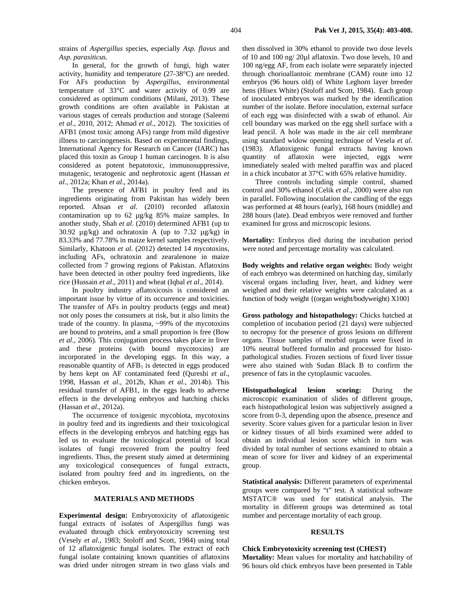strains of *Aspergillus* species, especially *Asp. flavus* and *Asp. parasiticus*.

In general, for the growth of fungi, high water activity, humidity and temperature (27-38°C) are needed. For AFs production by *Aspergillus*, environmental temperature of 33°C and water activity of 0.99 are considered as optimum conditions (Milani, 2013). These growth conditions are often available in Pakistan at various stages of cereals production and storage (Saleemi *et al*., 2010, 2012; Ahmad *et al*., 2012). The toxicities of AFB1 (most toxic among AFs) range from mild digestive illness to carcinogenesis. Based on experimental findings, International Agency for Research on Cancer (IARC) has placed this toxin as Group 1 human carcinogen. It is also considered as potent hepatotoxic, immunosuppressive, mutagenic, teratogenic and nephrotoxic agent (Hassan *et al*., 2012a; Khan *et al*., 2014a).

The presence of AFB1 in poultry feed and its ingredients originating from Pakistan has widely been reported. Ahsan *et al*. (2010) recorded aflatoxin contamination up to 62 µg/kg 85% maize samples. In another study, Shah *et al*. (2010) determined AFB1 (up to 30.92  $\mu$ g/kg) and ochratoxin A (up to 7.32  $\mu$ g/kg) in 83.33% and 77.78% in maize kernel samples respectively. Similarly, Khatoon *et al*. (2012) detected 14 mycotoxins, including AFs, ochratoxin and zearalenone in maize collected from 7 growing regions of Pakistan. Aflatoxins have been detected in other poultry feed ingredients, like rice (Hussain *et al*., 2011) and wheat (Iqbal *et al*., 2014).

In poultry industry aflatoxicosis is considered an important issue by virtue of its occurrence and toxicities. The transfer of AFs in poultry products (eggs and meat) not only poses the consumers at risk, but it also limits the trade of the country. In plasma, ~99% of the mycotoxins are bound to proteins, and a small proportion is free (Bow *et al*., 2006). This conjugation process takes place in liver and these proteins (with bound mycotoxins) are incorporated in the developing eggs. In this way, a reasonable quantity of  $AFB<sub>1</sub>$  is detected in eggs produced by hens kept on AF contaminated feed (Qureshi *et al*., 1998, Hassan *et al*., 2012b, Khan *et al*., 2014b). This residual transfer of AFB1, in the eggs leads to adverse effects in the developing embryos and hatching chicks (Hassan *et al*., 2012a).

The occurrence of toxigenic mycobiota, mycotoxins in poultry feed and its ingredients and their toxicological effects in the developing embryos and hatching eggs has led us to evaluate the toxicological potential of local isolates of fungi recovered from the poultry feed ingredients. Thus, the present study aimed at determining any toxicological consequences of fungal extracts, isolated from poultry feed and its ingredients, on the chicken embryos.

#### **MATERIALS AND METHODS**

**Experimental design:** Embryotoxicity of aflatoxigenic fungal extracts of isolates of Aspergillus fungi was evaluated through chick embryotoxicity screening test (Vesely *et al.,* 1983; Stoloff and Scott, 1984) using total of 12 aflatoxigenic fungal isolates. The extract of each fungal isolate containing known quantities of aflatoxins was dried under nitrogen stream in two glass vials and then dissolved in 30% ethanol to provide two dose levels of 10 and 100 ng/ 20µl aflatoxin. Two dose levels, 10 and 100 ng/egg AF, from each isolate were separately injected through chorioallantoic membrane (CAM) route into 12 embryos (96 hours old) of White Leghorn layer breeder hens (Hisex White) (Stoloff and Scott, 1984). Each group of inoculated embryos was marked by the identification number of the isolate. Before inoculation, external surface of each egg was disinfected with a swab of ethanol. Air cell boundary was marked on the egg shell surface with a lead pencil. A hole was made in the air cell membrane using standard widow opening technique of Vesela *et al*. (1983). Aflatoxigenic fungal extracts having known quantity of aflatoxin were injected, eggs were immediately sealed with melted paraffin wax and placed in a chick incubator at 37°C with 65% relative humidity.

Three controls including simple control, shamed control and 30% ethanol (Celik *et al.*, 2000) were also run in parallel. Following inoculation the candling of the eggs was performed at 48 hours (early), 168 hours (middle) and 288 hours (late). Dead embryos were removed and further examined for gross and microscopic lesions.

**Mortality:** Embryos died during the incubation period were noted and percentage mortality was calculated.

**Body weights and relative organ weights:** Body weight of each embryo was determined on hatching day, similarly visceral organs including liver, heart, and kidney were weighed and their relative weights were calculated as a function of body weight {(organ weight/bodyweight) X100}

**Gross pathology and histopathology:** Chicks hatched at completion of incubation period (21 days) were subjected to necropsy for the presence of gross lesions on different organs. Tissue samples of morbid organs were fixed in 10% neutral buffered formalin and processed for histopathological studies. Frozen sections of fixed liver tissue were also stained with Sudan Black B to confirm the presence of fats in the cytoplasmic vacuoles.

**Histopathological lesion scoring:** During the microscopic examination of slides of different groups, each histopathological lesion was subjectively assigned a score from 0-3, depending upon the absence, presence and severity. Score values given for a particular lesion in liver or kidney tissues of all birds examined were added to obtain an individual lesion score which in turn was divided by total number of sections examined to obtain a mean of score for liver and kidney of an experimental group.

**Statistical analysis:** Different parameters of experimental groups were compared by "t" test. A statistical software MSTATC® was used for statistical analysis. The mortality in different groups was determined as total number and percentage mortality of each group.

# **RESULTS**

#### **Chick Embryotoxicity screening test (CHEST)**

**Mortality:** Mean values for mortality and hatchability of 96 hours old chick embryos have been presented in Table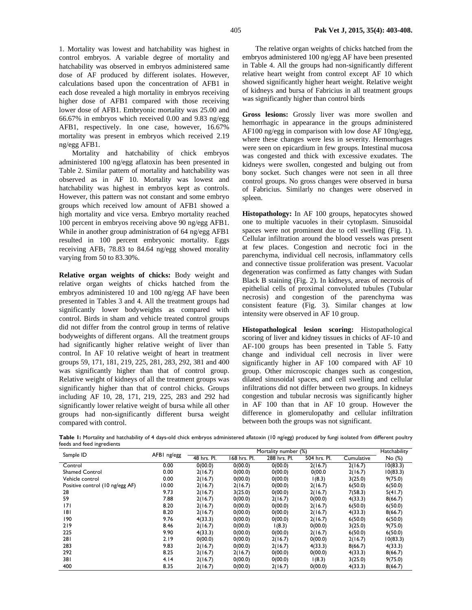1. Mortality was lowest and hatchability was highest in control embryos. A variable degree of mortality and hatchability was observed in embryos administered same dose of AF produced by different isolates. However, calculations based upon the concentration of AFB1 in each dose revealed a high mortality in embryos receiving higher dose of AFB1 compared with those receiving lower dose of AFB1. Embryonic mortality was 25.00 and 66.67% in embryos which received 0.00 and 9.83 ng/egg AFB1, respectively. In one case, however, 16.67% mortality was present in embryos which received 2.19 ng/egg AFB1.

Mortality and hatchability of chick embryos administered 100 ng/egg aflatoxin has been presented in Table 2. Similar pattern of mortality and hatchability was observed as in AF 10. Mortality was lowest and hatchability was highest in embryos kept as controls. However, this pattern was not constant and some embryo groups which received low amount of AFB1 showed a high mortality and vice versa. Embryo mortality reached 100 percent in embryos receiving above 90 ng/egg AFB1. While in another group administration of 64 ng/egg AFB1 resulted in 100 percent embryonic mortality. Eggs receiving  $AFB<sub>1</sub>$  78.83 to 84.64 ng/egg showed morality varying from 50 to 83.30%.

**Relative organ weights of chicks:** Body weight and relative organ weights of chicks hatched from the embryos administered 10 and 100 ng/egg AF have been presented in Tables 3 and 4. All the treatment groups had significantly lower bodyweights as compared with control. Birds in sham and vehicle treated control groups did not differ from the control group in terms of relative bodyweights of different organs. All the treatment groups had significantly higher relative weight of liver than control. In AF 10 relative weight of heart in treatment groups 59, 171, 181, 219, 225, 281, 283, 292, 381 and 400 was significantly higher than that of control group. Relative weight of kidneys of all the treatment groups was significantly higher than that of control chicks. Groups including AF 10, 28, 171, 219, 225, 283 and 292 had significantly lower relative weight of bursa while all other groups had non-significantly different bursa weight compared with control.

The relative organ weights of chicks hatched from the embryos administered 100 ng/egg AF have been presented in Table 4. All the groups had non-significantly different relative heart weight from control except AF 10 which showed significantly higher heart weight. Relative weight of kidneys and bursa of Fabricius in all treatment groups was significantly higher than control birds

**Gross lesions:** Grossly liver was more swollen and hemorrhagic in appearance in the groups administered AF100 ng/egg in comparison with low dose AF 10ng/egg, where these changes were less in severity. Hemorrhages were seen on epicardium in few groups. Intestinal mucosa was congested and thick with excessive exudates. The kidneys were swollen, congested and bulging out from bony socket. Such changes were not seen in all three control groups. No gross changes were observed in bursa of Fabricius. Similarly no changes were observed in spleen.

**Histopathology:** In AF 100 groups, hepatocytes showed one to multiple vacuoles in their cytoplasm. Sinusoidal spaces were not prominent due to cell swelling (Fig. 1). Cellular infiltration around the blood vessels was present at few places. Congestion and necrotic foci in the parenchyma, individual cell necrosis, inflammatory cells and connective tissue proliferation was present. Vacuolar degeneration was confirmed as fatty changes with Sudan Black B staining (Fig. 2). In kidneys, areas of necrosis of epithelial cells of proximal convoluted tubules (Tubular necrosis) and congestion of the parenchyma was consistent feature (Fig. 3). Similar changes at low intensity were observed in AF 10 group.

**Histopathological lesion scoring:** Histopathological scoring of liver and kidney tissues in chicks of AF-10 and AF-100 groups has been presented in Table 5. Fatty change and individual cell necrosis in liver were significantly higher in AF 100 compared with AF 10 group. Other microscopic changes such as congestion, dilated sinusoidal spaces, and cell swelling and cellular infiltrations did not differ between two groups. In kidneys congestion and tubular necrosis was significantly higher in AF 100 than that in AF 10 group. However the difference in glomerulopathy and cellular infiltration between both the groups was not significant.

Table 1: Mortality and hatchability of 4 days-old chick embryos administered aflatoxin (10 ng/egg) produced by fungi isolated from different poultry feeds and feed ingredients

| Sample ID                       | AFBI ng/egg | Mortality number (%) |              |              |              |            | Hatchability |
|---------------------------------|-------------|----------------------|--------------|--------------|--------------|------------|--------------|
|                                 |             | 48 hrs. Pl.          | 168 hrs. Pl. | 288 hrs. Pl. | 504 hrs. Pl. | Cumulative | No (%)       |
| Control                         | 0.00        | 0(00.0)              | 0(00.0)      | 0(00.0)      | 2(16.7)      | 2(16.7)    | 10(83.3)     |
| <b>Shamed Control</b>           | 0.00        | 2(16.7)              | 0(00.0)      | 0(00.0)      | 0(00.0)      | 2(16.7)    | 10(83.3)     |
| Vehicle control                 | 0.00        | 2(16.7)              | 0(00.0)      | 0(00.0)      | 1(8.3)       | 3(25.0)    | 9(75.0)      |
| Positive control (10 ng/egg AF) | 10.00       | 2(16.7)              | 2(16.7)      | 0(00.0)      | 2(16.7)      | 6(50.0)    | 6(50.0)      |
| 28                              | 9.73        | 2(16.7)              | 3(25.0)      | 0(00.0)      | 2(16.7)      | 7(58.3)    | 5(41.7)      |
| 59                              | 7.88        | 2(16.7)              | 0(00.0)      | 2(16.7)      | 0(00.0)      | 4(33.3)    | 8(66.7)      |
| 7                               | 8.20        | 2(16.7)              | 0(00.0)      | 0(00.0)      | 2(16.7)      | 6(50.0)    | 6(50.0)      |
| 181                             | 8.20        | 2(16.7)              | 0(00.0)      | 0(00.0)      | 2(16.7)      | 4(33.3)    | 8(66.7)      |
| 190                             | 9.76        | 4(33.3)              | 0(00.0)      | 0(00.0)      | 2(16.7)      | 6(50.0)    | 6(50.0)      |
| 219                             | 8.46        | 2(16.7)              | 0(00.0)      | 1(8.3)       | 0(00.0)      | 3(25.0)    | 9(75.0)      |
| 225                             | 9.90        | 4(33.3)              | 0(00.0)      | 0(00.0)      | 2(16.7)      | 6(50.0)    | 6(50.0)      |
| 281                             | 2.19        | 0(00.0)              | 0(00.0)      | 2(16.7)      | 0(00.0)      | 2(16.7)    | 10(83.3)     |
| 283                             | 9.83        | 2(16.7)              | 0(00.0)      | 2(16.7)      | 4(33.3)      | 8(66.7)    | 4(33.3)      |
| 292                             | 8.25        | 2(16.7)              | 2(16.7)      | 0(00.0)      | 0(00.0)      | 4(33.3)    | 8(66.7)      |
| 381                             | 4.14        | 2(16.7)              | 0(00.0)      | 0(00.0)      | 1(8.3)       | 3(25.0)    | 9(75.0)      |
| 400                             | 8.35        | 2(16.7)              | 0(00.0)      | 2(16.7)      | 0(00.0)      | 4(33.3)    | 8(66.7)      |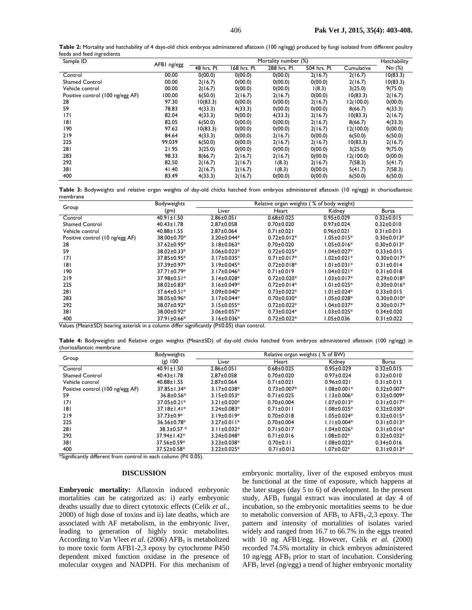| Table 2: Mortality and hatchability of 4 days-old chick embryos administered aflatoxin (100 ng/egg) produced by fungi isolated from different poultry |  |  |  |
|-------------------------------------------------------------------------------------------------------------------------------------------------------|--|--|--|
| feeds and feed ingredients                                                                                                                            |  |  |  |

| Sample ID                        | AFBI ng/egg | Mortality number (%) |              |              |              | Hatchability |          |
|----------------------------------|-------------|----------------------|--------------|--------------|--------------|--------------|----------|
|                                  |             | 48 hrs. Pl.          | 168 hrs. Pl. | 288 hrs. Pl. | 504 hrs. Pl. | Cumulative   | No (%)   |
| Control                          | 00.00       | 0(00.0)              | 0(00.0)      | 0(00.0)      | 2(16.7)      | 2(16.7)      | 10(83.3) |
| <b>Shamed Control</b>            | 00.00       | 2(16.7)              | 0(00.0)      | 0(00.0)      | 0(00.0)      | 2(16.7)      | 10(83.3) |
| Vehicle control                  | 00.00       | 2(16.7)              | 0(00.0)      | 0(00.0)      | 1(8.3)       | 3(25.0)      | 9(75.0)  |
| Positive control (100 ng/egg AF) | 100.00      | 6(50.0)              | 2(16.7)      | 2(16.7)      | 0(00.0)      | 10(83.3)     | 2(16.7)  |
| 28                               | 97.30       | 10(83.3)             | 0(00.0)      | 0(00.0)      | 2(16.7)      | 12(100.0)    | 0(00.0)  |
| 59                               | 78.83       | 4(33.3)              | 4(33.3)      | 0(00.0)      | 0(00.0)      | 8(66.7)      | 4(33.3)  |
| 171                              | 82.04       | 4(33.3)              | 0(00.0)      | 4(33.3)      | 2(16.7)      | 10(83.3)     | 2(16.7)  |
| 181                              | 82.05       | 6(50.0)              | 0(00.0)      | 0(00.0)      | 2(16.7)      | 8(66.7)      | 4(33.3)  |
| 190                              | 97.62       | 10(83.3)             | 0(00.0)      | 0(00.0)      | 2(16.7)      | 12(100.0)    | 0(00.0)  |
| 219                              | 84.64       | 4(33.3)              | 0(00.0)      | 2(16.7)      | 0(00.0)      | 6(50.0)      | 6(50.0)  |
| 225                              | 99.039      | 6(50.0)              | 0(00.0)      | 2(16.7)      | 2(16.7)      | 10(83.3)     | 2(16.7)  |
| 281                              | 21.95       | 3(25.0)              | 0(00.0)      | 0(00.0)      | 0(00.0)      | 3(25.0)      | 9(75.0)  |
| 283                              | 98.33       | 8(66.7)              | 2(16.7)      | 2(16.7)      | 0(00.0)      | 12(100.0)    | 0(00.0)  |
| 292                              | 82.50       | 2(16.7)              | 2(16.7)      | 1(8.3)       | 2(16.7)      | 7(58.3)      | 5(41.7)  |
| 381                              | 41.40       | 2(16.7)              | 2(16.7)      | 1(8.3)       | 0(00.0)      | 5(41.7)      | 7(58.3)  |
| 400                              | 83.49       | 4(33.3)              | 2(16.7)      | 0(00.0)      | 0(00.0)      | 6(50.0)      | 6(50.0)  |

**Table 3:** Bodyweights and relative organ weights of day-old chicks hatched from embryos administered aflatoxin (10 ng/egg) in chorioallantoic membrane

| Group                           | Bodyweights       | Relative organ weights (% of body weight) |                    |                    |                   |  |  |
|---------------------------------|-------------------|-------------------------------------------|--------------------|--------------------|-------------------|--|--|
|                                 | (gm)              | Liver                                     | Heart              | Kidney             | Bursa             |  |  |
| Control                         | $40.91 \pm 1.50$  | $2.86 \pm 0.051$                          | $0.68 + 0.025$     | $0.95 \pm 0.029$   | $0.32 \pm 0.015$  |  |  |
| <b>Shamed Control</b>           | $40.43 \pm 1.78$  | $2.87 \pm 0.058$                          | $0.70 \pm 0.020$   | $0.97 \pm 0.024$   | $0.32 \pm 0.010$  |  |  |
| Vehicle control                 | $40.88 \pm 1.55$  | $2.87 \pm 0.064$                          | $0.71 \pm 0.021$   | $0.96 \pm 0.021$   | $0.31 \pm 0.013$  |  |  |
| Positive control (10 ng/egg AF) | 38.00±0.70*       | $3.20 \pm 0.044*$                         | $0.72 \pm 0.012*$  | $1.05 \pm 0.015*$  | $0.30 \pm 0.013*$ |  |  |
| 28                              | $37.62 \pm 0.95*$ | $3.18 \pm 0.063*$                         | $0.70 \pm 0.020$   | $1.05 \pm 0.016*$  | $0.30 \pm 0.013*$ |  |  |
| 59                              | $38.02 \pm 0.33*$ | $3.06 \pm 0.023*$                         | $0.72 \pm 0.025$ * | $1.04 \pm 0.027*$  | $0.33 \pm 0.015$  |  |  |
| 171                             | $37.85 \pm 0.95*$ | $3.17 \pm 0.035*$                         | $0.71 \pm 0.017*$  | l.02±0.021*        | $0.30 \pm 0.017*$ |  |  |
| 181                             | 37.39±0.97*       | $3.19 \pm 0.045*$                         | $0.72 \pm 0.018$ * | $1.01 \pm 0.031*$  | $0.31 \pm 0.014$  |  |  |
| 190                             | $37.71 \pm 0.79*$ | $3.17 \pm 0.046*$                         | $0.71 \pm 0.019$   | l.04±0.021*        | $0.31 \pm 0.018$  |  |  |
| 219                             | $37.98 \pm 0.51*$ | $3.14 \pm 0.028$ *                        | $0.72 \pm 0.020*$  | $1.03 \pm 0.017*$  | $0.29 \pm 0.018*$ |  |  |
| 225                             | $38.02 \pm 0.83*$ | $3.16 \pm 0.049*$                         | $0.72 \pm 0.014*$  | $1.01 \pm 0.025*$  | $0.30 \pm 0.016*$ |  |  |
| 281                             | $37.64 \pm 0.51*$ | $3.09 \pm 0.040*$                         | $0.73 \pm 0.022*$  | $1.01 \pm 0.024*$  | $0.33 \pm 0.015$  |  |  |
| 283                             | $38.05 \pm 0.96*$ | $3.17 \pm 0.044*$                         | $0.70 \pm 0.030*$  | $1.05 \pm 0.028^*$ | $0.30 \pm 0.010*$ |  |  |
| 292                             | 38.07±0.92*       | $3.15 \pm 0.055*$                         | $0.72 \pm 0.022*$  | $1.04 \pm 0.037*$  | $0.30 \pm 0.017*$ |  |  |
| 381                             | 38.00±0.92*       | $3.06 \pm 0.057*$                         | $0.73 \pm 0.024*$  | $1.03 \pm 0.025*$  | $0.34 \pm 0.020$  |  |  |
| 400                             | 37.91±0.66*       | $3.16 \pm 0.036*$                         | $0.72 \pm 0.022$ * | 1.05±0.036         | $0.31 \pm 0.022$  |  |  |

Values (Mean±SD) bearing asterisk in a column differ significantly (P≤0.05) than control.

**Table 4:** Bodyweights and Relative organ weights (Mean±SD) of day-old chicks hatched from embryos administered aflatoxin (100 ng/egg) in chorioallantoic membrane

|                                  | <b>Bodyweights</b> | Relative organ weights (% of BW) |                   |                   |                   |  |
|----------------------------------|--------------------|----------------------------------|-------------------|-------------------|-------------------|--|
| Group                            | $(g)$ 100          | Liver                            | Heart             | Kidney            | Bursa             |  |
| Control                          | $40.91 \pm 1.50$   | $2.86 \pm 0.051$                 | $0.68 \pm 0.025$  | $0.95 \pm 0.029$  | $0.32 \pm 0.015$  |  |
| <b>Shamed Control</b>            | $40.43 \pm 1.78$   | $2.87 \pm 0.058$                 | $0.70 + 0.020$    | $0.97 \pm 0.024$  | $0.32 \pm 0.010$  |  |
| Vehicle control                  | $40.88 \pm 1.55$   | $2.87 \pm 0.064$                 | $0.71 \pm 0.021$  | $0.96 \pm 0.021$  | $0.31 \pm 0.013$  |  |
| Positive control (100 ng/egg AF) | $37.85 \pm 1.34*$  | $3.17 \pm 0.038*$                | $0.73 \pm 0.007*$ | 1.08±0.001*       | $0.32 \pm 0.007*$ |  |
| 59                               | $36.8 \pm 0.56*$   | $3.15 \pm 0.053*$                | $0.71 \pm 0.025$  | $1.13 \pm 0.006*$ | $0.32 \pm 0.009*$ |  |
| 7                                | $37.05 \pm 0.21*$  | $3.21 \pm 0.020*$                | $0.70 \pm 0.004$  | $1.07 \pm 0.013*$ | $0.31 \pm 0.017*$ |  |
| 181                              | $37.18 \pm 1.41*$  | $3.24 \pm 0.083*$                | $0.71 \pm 0.011$  | $1.08 \pm 0.025*$ | $0.32 \pm 0.030*$ |  |
| 219                              | $37.73 \pm 0.9*$   | $3.19 \pm 0.019*$                | $0.70 \pm 0.018$  | $1.05 \pm 0.024*$ | $0.32 \pm 0.015*$ |  |
| 225                              | 36.56±0.78*        | $3.27 + 0.011*$                  | $0.70 \pm 0.004$  | $1.11 \pm 0.004*$ | $0.31 \pm 0.013*$ |  |
| 281                              | $38.3 \pm 0.57$ *  | $3.11 \pm 0.032*$                | $0.71 \pm 0.017$  | $1.04 \pm 0.026*$ | $0.31 \pm 0.016*$ |  |
| 292                              | $37.94 \pm 1.42^*$ | $3.24 \pm 0.048*$                | $0.71 \pm 0.016$  | $.08 \pm 0.02*$   | $0.32 \pm 0.032*$ |  |
| 381                              | 37.56±0.59*        | $3.23 \pm 0.038*$                | $0.70 \pm 0.11$   | $.08 \pm 0.022*$  | $0.34 \pm 0.016$  |  |
| 400                              | $37.52 \pm 0.58^*$ | $3.22 \pm 0.025$ *               | $0.71 \pm 0.012$  | $1.07 \pm 0.02*$  | $0.31 \pm 0.013*$ |  |

\*Significantly different from control in each column (P≤ 0.05).

#### **DISCUSSION**

**Embryonic mortality:** Aflatoxin induced embryonic mortalities can be categorized as: i) early embryonic deaths usually due to direct cytotoxic effects (Celik *et al*., 2000) of high dose of toxins and ii) late deaths, which are associated with AF metabolism, in the embryonic liver, leading to generation of highly toxic metabolites. According to Van Vleet *et al.* (2006) AFB<sub>1</sub> is metabolized to more toxic form AFB1-2,3 epoxy by cytochrome P450 dependent mixed function oxidase in the presence of molecular oxygen and NADPH. For this mechanism of

embryonic mortality, liver of the exposed embryos must be functional at the time of exposure, which happens at the later stages (day 5 to 6) of development. In the present study,  $AFB<sub>1</sub>$  fungal extract was inoculated at day 4 of incubation, so the embryonic mortalities seems to be due to metabolic conversion of  $AFB<sub>1</sub>$  to  $AFB<sub>1</sub>$ -2,3 epoxy. The pattern and intensity of mortalities of isolates varied widely and ranged from 16.7 to 66.7% in the eggs treated with 10 ng AFB1/egg. However, Celik *et al.* (2000) recorded 74.5% mortality in chick embryos administered 10 ng/egg  $AFB<sub>1</sub>$  prior to start of incubation. Considering  $AFB<sub>1</sub>$  level (ng/egg) a trend of higher embryonic mortality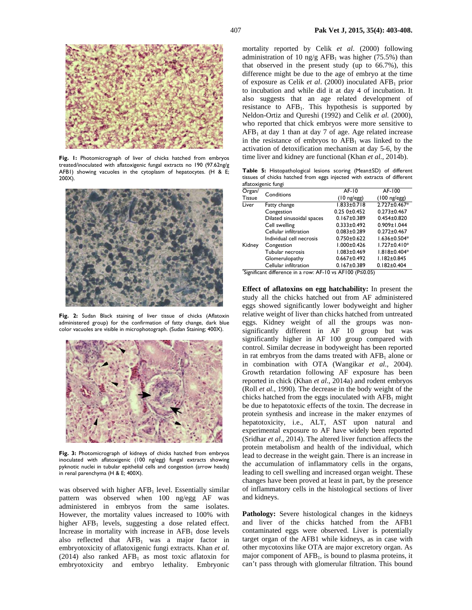

**Fig. 1:** Photomicrograph of liver of chicks hatched from embryos treated/inoculated with aflatoxigenic fungal extracts no 190 (97.62ng/g AFB1) showing vacuoles in the cytoplasm of hepatocytes. (H & E; 200X).



**Fig. 2:** Sudan Black staining of liver tissue of chicks (Aflatoxin administered group) for the confirmation of fatty change, dark blue color vacuoles are visible in microphotograph. (Sudan Staining; 400X).



**Fig. 3:** Photomicrograph of kidneys of chicks hatched from embryos inoculated with aflatoxigenic (100 ng/egg) fungal extracts showing pyknotic nuclei in tubular epithelial cells and congestion (arrow heads) in renal parenchyma (H & E; 400X).

was observed with higher  $AFB<sub>1</sub>$  level. Essentially similar pattern was observed when 100 ng/egg AF was administered in embryos from the same isolates. However, the mortality values increased to 100% with higher AFB<sub>1</sub> levels, suggesting a dose related effect. Increase in mortality with increase in  $AFB<sub>1</sub>$  dose levels also reflected that  $AFB<sub>1</sub>$  was a major factor in embryotoxicity of aflatoxigenic fungi extracts. Khan *et al.*  (2014) also ranked  $AFB<sub>1</sub>$  as most toxic aflatoxin for embryotoxicity and embryo lethality. Embryonic

mortality reported by Celik *et al*. (2000) following administration of 10 ng/g AFB<sub>1</sub> was higher (75.5%) than that observed in the present study (up to 66.7%), this difference might be due to the age of embryo at the time of exposure as Celik *et al.* (2000) inoculated AFB<sub>1</sub> prior to incubation and while did it at day 4 of incubation. It also suggests that an age related development of resistance to  $AFB<sub>1</sub>$ . This hypothesis is supported by Neldon-Ortiz and Qureshi (1992) and Celik *et al.* (2000), who reported that chick embryos were more sensitive to  $AFB<sub>1</sub>$  at day 1 than at day 7 of age. Age related increase in the resistance of embryos to  $AFB<sub>1</sub>$  was linked to the activation of detoxification mechanism at day 5-6, by the time liver and kidney are functional (Khan *et al.,* 2014b).

**Table 5:** Histopathological lesions scoring (Mean±SD) of different tissues of chicks hatched from eggs injected with extracts of different aflatoxigenic fungi

| Organ/        | Conditions                                                | AF-10                        | AF-100                        |  |  |  |
|---------------|-----------------------------------------------------------|------------------------------|-------------------------------|--|--|--|
| <b>Tissue</b> |                                                           | $(10 \text{ ng}/\text{egg})$ | $(100 \text{ ng}/\text{egg})$ |  |  |  |
| Liver         | Fatty change                                              | $1.833 \pm 0.718$            | 2.727±0.467*                  |  |  |  |
|               | Congestion                                                | 0.250±0.452                  | $0.273 \pm 0.467$             |  |  |  |
|               | Dilated sinusoidal spaces                                 | $0.167 + 0.389$              | $0.454 \pm 0.820$             |  |  |  |
|               | Cell swelling                                             | $0.333 \pm 0.492$            | $0.909 \pm 1.044$             |  |  |  |
|               | Cellular infiltration                                     | $0.083 \pm 0.289$            | $0.272 \pm 0.467$             |  |  |  |
|               | Individual cell necrosis                                  | $0.750 + 0.622$              | $1.636 \pm 0.504*$            |  |  |  |
| Kidney        | Congestion                                                | $1.000 \pm 0.426$            | $1.727 \pm 0.410*$            |  |  |  |
|               | Tubular necrosis                                          | $1.083 + 0.469$              | $1.818 \pm 0.404*$            |  |  |  |
|               | Glomerulopathy                                            | $0.667 \pm 0.492$            | $1.182 \pm 0.845$             |  |  |  |
|               | Cellular infiltration                                     | $0.167 + 0.389$              | $0.182 \pm 0.404$             |  |  |  |
|               | *Significant difference in a row: AF-10 vs AF100 (P≤0.05) |                              |                               |  |  |  |

**Effect of aflatoxins on egg hatchability:** In present the study all the chicks hatched out from AF administered eggs showed significantly lower bodyweight and higher relative weight of liver than chicks hatched from untreated eggs. Kidney weight of all the groups was nonsignificantly different in AF 10 group but was significantly higher in AF 100 group compared with control. Similar decrease in bodyweight has been reported in rat embryos from the dams treated with  $AFB<sub>1</sub>$  alone or in combination with OTA (Wangikar *et al.,* 2004). Growth retardation following AF exposure has been reported in chick (Khan *et al.*, 2014a) and rodent embryos (Roll *et al.*, 1990). The decrease in the body weight of the chicks hatched from the eggs inoculated with  $AFB<sub>1</sub>$  might be due to hepatotoxic effects of the toxin. The decrease in protein synthesis and increase in the maker enzymes of hepatotoxicity, i.e., ALT, AST upon natural and experimental exposure to AF have widely been reported (Sridhar *et al*., 2014). The altered liver function affects the protein metabolism and health of the individual, which lead to decrease in the weight gain. There is an increase in the accumulation of inflammatory cells in the organs, leading to cell swelling and increased organ weight. These changes have been proved at least in part, by the presence of inflammatory cells in the histological sections of liver and kidneys.

**Pathology:** Severe histological changes in the kidneys and liver of the chicks hatched from the AFB1 contaminated eggs were observed. Liver is potentially target organ of the AFB1 while kidneys, as in case with other mycotoxins like OTA are major excretory organ. As major component of  $AFB<sub>1</sub>$ , is bound to plasma proteins, it can't pass through with glomerular filtration. This bound